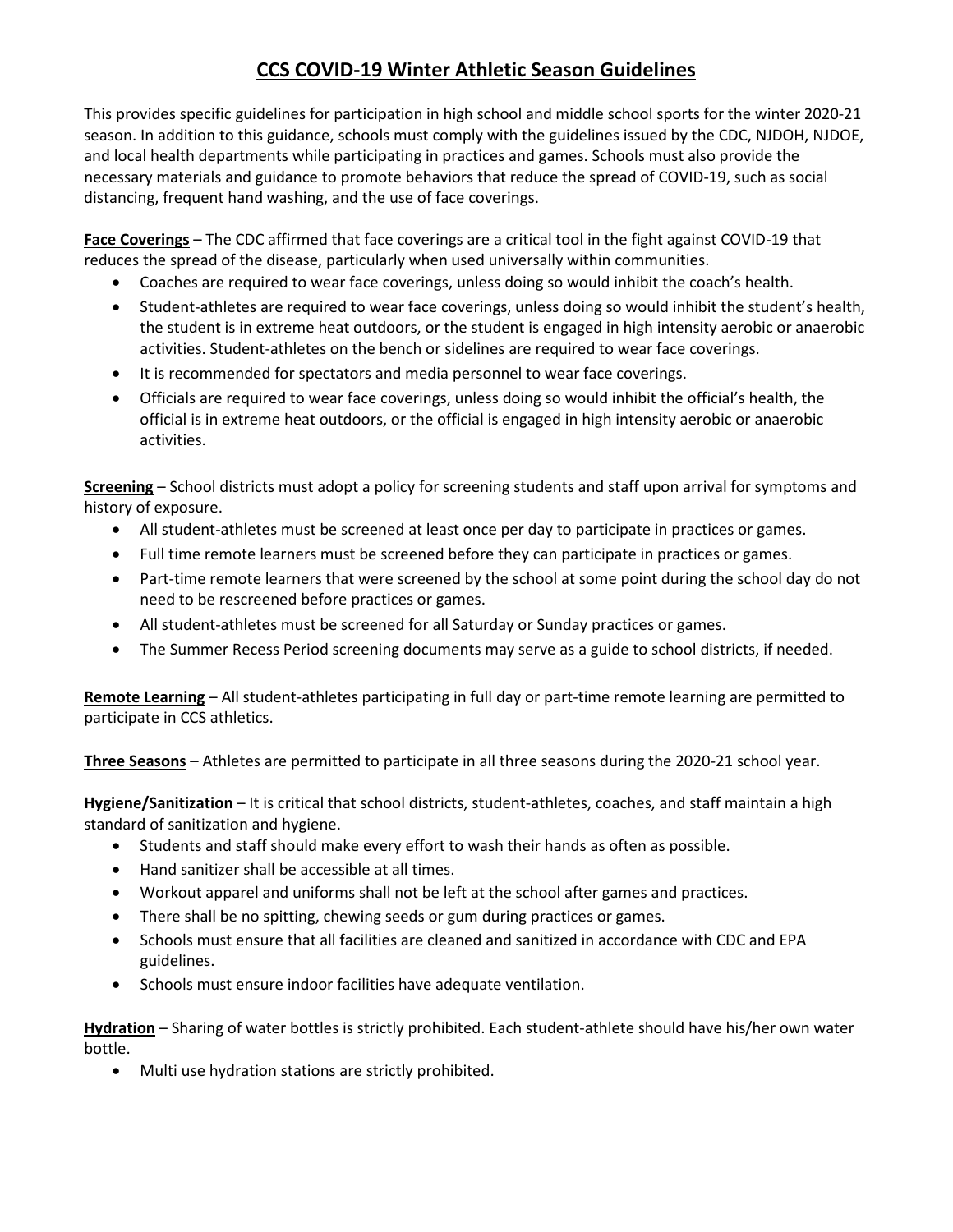## **CCS COVID-19 Winter Athletic Season Guidelines**

This provides specific guidelines for participation in high school and middle school sports for the winter 2020-21 season. In addition to this guidance, schools must comply with the guidelines issued by the CDC, NJDOH, NJDOE, and local health departments while participating in practices and games. Schools must also provide the necessary materials and guidance to promote behaviors that reduce the spread of COVID-19, such as social distancing, frequent hand washing, and the use of face coverings.

**Face Coverings** – The CDC affirmed that face coverings are a critical tool in the fight against COVID-19 that reduces the spread of the disease, particularly when used universally within communities.

- Coaches are required to wear face coverings, unless doing so would inhibit the coach's health.
- Student-athletes are required to wear face coverings, unless doing so would inhibit the student's health, the student is in extreme heat outdoors, or the student is engaged in high intensity aerobic or anaerobic activities. Student-athletes on the bench or sidelines are required to wear face coverings.
- It is recommended for spectators and media personnel to wear face coverings.
- Officials are required to wear face coverings, unless doing so would inhibit the official's health, the official is in extreme heat outdoors, or the official is engaged in high intensity aerobic or anaerobic activities.

**Screening** – School districts must adopt a policy for screening students and staff upon arrival for symptoms and history of exposure.

- All student-athletes must be screened at least once per day to participate in practices or games.
- Full time remote learners must be screened before they can participate in practices or games.
- Part-time remote learners that were screened by the school at some point during the school day do not need to be rescreened before practices or games.
- All student-athletes must be screened for all Saturday or Sunday practices or games.
- The Summer Recess Period screening documents may serve as a guide to school districts, if needed.

**Remote Learning** – All student-athletes participating in full day or part-time remote learning are permitted to participate in CCS athletics.

**Three Seasons** – Athletes are permitted to participate in all three seasons during the 2020-21 school year.

**Hygiene/Sanitization** – It is critical that school districts, student-athletes, coaches, and staff maintain a high standard of sanitization and hygiene.

- Students and staff should make every effort to wash their hands as often as possible.
- Hand sanitizer shall be accessible at all times.
- Workout apparel and uniforms shall not be left at the school after games and practices.
- There shall be no spitting, chewing seeds or gum during practices or games.
- Schools must ensure that all facilities are cleaned and sanitized in accordance with CDC and EPA guidelines.
- Schools must ensure indoor facilities have adequate ventilation.

**Hydration** – Sharing of water bottles is strictly prohibited. Each student-athlete should have his/her own water bottle.

• Multi use hydration stations are strictly prohibited.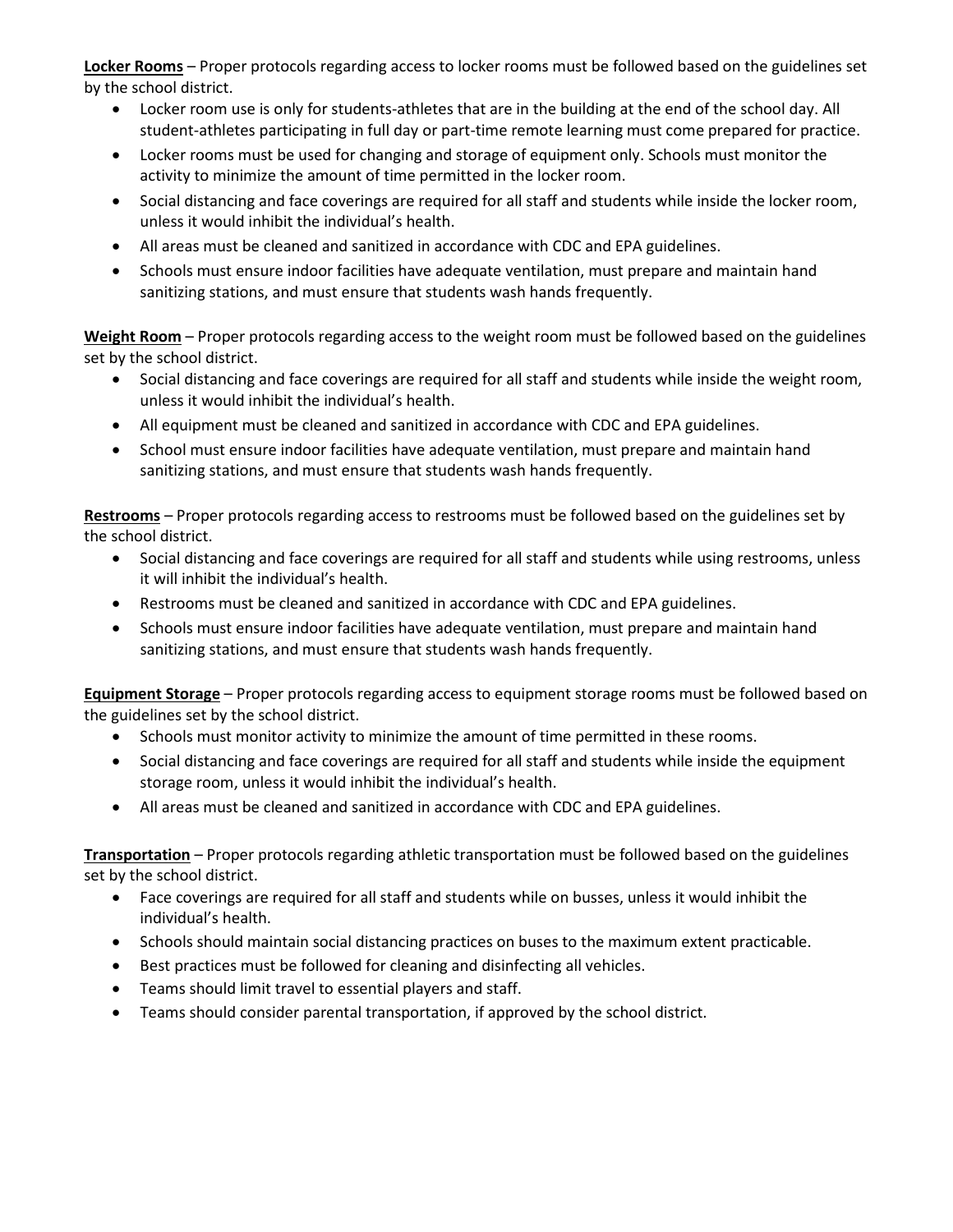**Locker Rooms** – Proper protocols regarding access to locker rooms must be followed based on the guidelines set by the school district.

- Locker room use is only for students-athletes that are in the building at the end of the school day. All student-athletes participating in full day or part-time remote learning must come prepared for practice.
- Locker rooms must be used for changing and storage of equipment only. Schools must monitor the activity to minimize the amount of time permitted in the locker room.
- Social distancing and face coverings are required for all staff and students while inside the locker room, unless it would inhibit the individual's health.
- All areas must be cleaned and sanitized in accordance with CDC and EPA guidelines.
- Schools must ensure indoor facilities have adequate ventilation, must prepare and maintain hand sanitizing stations, and must ensure that students wash hands frequently.

**Weight Room** – Proper protocols regarding access to the weight room must be followed based on the guidelines set by the school district.

- Social distancing and face coverings are required for all staff and students while inside the weight room, unless it would inhibit the individual's health.
- All equipment must be cleaned and sanitized in accordance with CDC and EPA guidelines.
- School must ensure indoor facilities have adequate ventilation, must prepare and maintain hand sanitizing stations, and must ensure that students wash hands frequently.

**Restrooms** – Proper protocols regarding access to restrooms must be followed based on the guidelines set by the school district.

- Social distancing and face coverings are required for all staff and students while using restrooms, unless it will inhibit the individual's health.
- Restrooms must be cleaned and sanitized in accordance with CDC and EPA guidelines.
- Schools must ensure indoor facilities have adequate ventilation, must prepare and maintain hand sanitizing stations, and must ensure that students wash hands frequently.

**Equipment Storage** – Proper protocols regarding access to equipment storage rooms must be followed based on the guidelines set by the school district.

- Schools must monitor activity to minimize the amount of time permitted in these rooms.
- Social distancing and face coverings are required for all staff and students while inside the equipment storage room, unless it would inhibit the individual's health.
- All areas must be cleaned and sanitized in accordance with CDC and EPA guidelines.

**Transportation** – Proper protocols regarding athletic transportation must be followed based on the guidelines set by the school district.

- Face coverings are required for all staff and students while on busses, unless it would inhibit the individual's health.
- Schools should maintain social distancing practices on buses to the maximum extent practicable.
- Best practices must be followed for cleaning and disinfecting all vehicles.
- Teams should limit travel to essential players and staff.
- Teams should consider parental transportation, if approved by the school district.